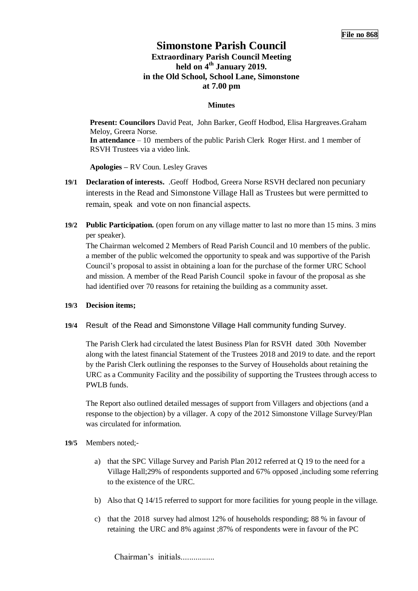## **Simonstone Parish Council Extraordinary Parish Council Meeting held on 4 th January 2019. in the Old School, School Lane, Simonstone at 7.00 pm**

## **Minutes**

**Present: Councilors** David Peat, John Barker, Geoff Hodbod, Elisa Hargreaves.Graham Meloy, Greera Norse. **In attendance** – 10 members of the public Parish Clerk Roger Hirst. and 1 member of RSVH Trustees via a video link.

**Apologies –** RV Coun. Lesley Graves

- **19/1 Declaration of interests.** .Geoff Hodbod, Greera Norse RSVH declared non pecuniary interests in the Read and Simonstone Village Hall as Trustees but were permitted to remain, speak and vote on non financial aspects.
- **19/2 Public Participation.** (open forum on any village matter to last no more than 15 mins. 3 mins per speaker).

The Chairman welcomed 2 Members of Read Parish Council and 10 members of the public. a member of the public welcomed the opportunity to speak and was supportive of the Parish Council's proposal to assist in obtaining a loan for the purchase of the former URC School and mission. A member of the Read Parish Council spoke in favour of the proposal as she had identified over 70 reasons for retaining the building as a community asset.

## **19/3 Decision items;**

**19/4** Result of the Read and Simonstone Village Hall community funding Survey.

The Parish Clerk had circulated the latest Business Plan for RSVH dated 30th November along with the latest financial Statement of the Trustees 2018 and 2019 to date. and the report by the Parish Clerk outlining the responses to the Survey of Households about retaining the URC as a Community Facility and the possibility of supporting the Trustees through access to PWLB funds.

The Report also outlined detailed messages of support from Villagers and objections (and a response to the objection) by a villager. A copy of the 2012 Simonstone Village Survey/Plan was circulated for information.

- **19/5** Members noted;
	- a) that the SPC Village Survey and Parish Plan 2012 referred at Q 19 to the need for a Village Hall;29% of respondents supported and 67% opposed ,including some referring to the existence of the URC.
	- b) Also that Q 14/15 referred to support for more facilities for young people in the village.
	- c) that the 2018 survey had almost 12% of households responding; 88 % in favour of retaining the URC and 8% against ;87% of respondents were in favour of the PC

Chairman's initials.................